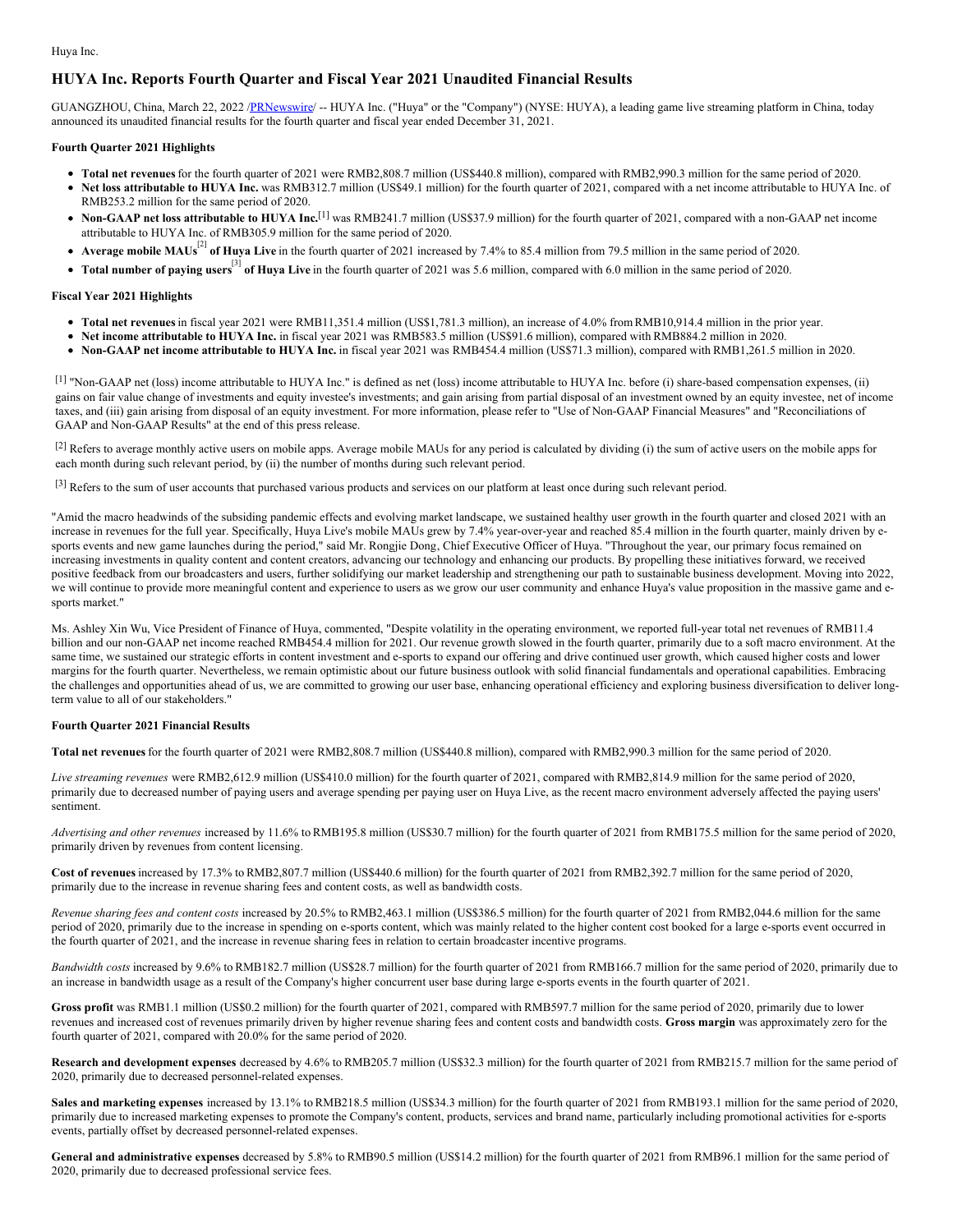Huya Inc.

# **HUYA Inc. Reports Fourth Quarter and Fiscal Year 2021 Unaudited Financial Results**

GUANGZHOU, China, March 22, 2022 /[PRNewswire](http://www.prnewswire.com/)/ -- HUYA Inc. ("Huya" or the "Company") (NYSE: HUYA), a leading game live streaming platform in China, today announced its unaudited financial results for the fourth quarter and fiscal year ended December 31, 2021.

## **Fourth Quarter 2021 Highlights**

- **Total net revenues**for the fourth quarter of 2021 were RMB2,808.7 million (US\$440.8 million), compared with RMB2,990.3 million for the same period of 2020.
- **Net loss attributable to HUYA Inc.** was RMB312.7 million (US\$49.1 million) for the fourth quarter of 2021, compared with a net income attributable to HUYA Inc. of RMB253.2 million for the same period of 2020.
- **Non-GAAP net loss attributable to HUYA Inc.** [1] was RMB241.7 million (US\$37.9 million) for the fourth quarter of 2021, compared with a non-GAAP net income attributable to HUYA Inc. of RMB305.9 million for the same period of 2020.
- **Average mobile MAUs** [2] **of Huya Live** in the fourth quarter of <sup>2021</sup> increased by 7.4% to 85.4 million from 79.5 million in the same period of 2020.
- **Total number of paying users** [3] **of Huya Live** in the fourth quarter of <sup>2021</sup> was 5.6 million, compared with 6.0 million in the same period of 2020.

#### **Fiscal Year 2021 Highlights**

- **Total net revenues**in fiscal year 2021 were RMB11,351.4 million (US\$1,781.3 million), an increase of 4.0% from RMB10,914.4 million in the prior year.
- **Net income attributable to HUYA Inc.** in fiscal year 2021 was RMB583.5 million (US\$91.6 million), compared with RMB884.2 million in 2020.
- **Non-GAAP net income attributable to HUYA Inc.** in fiscal year 2021 was RMB454.4 million (US\$71.3 million), compared with RMB1,261.5 million in 2020.

[1] "Non-GAAP net (loss) income attributable to HUYA Inc." is defined as net (loss) income attributable to HUYA Inc. before (i) share-based compensation expenses, (ii) gains on fair value change of investments and equity investee's investments; and gain arising from partial disposal of an investment owned by an equity investee, net of income taxes, and (iii) gain arising from disposal of an equity investment. For more information, please refer to "Use of Non-GAAP Financial Measures" and "Reconciliations of GAAP and Non-GAAP Results" at the end of this press release.

 $[2]$  Refers to average monthly active users on mobile apps. Average mobile MAUs for any period is calculated by dividing (i) the sum of active users on the mobile apps for each month during such relevant period, by (ii) the number of months during such relevant period.

[3] Refers to the sum of user accounts that purchased various products and services on our platform at least once during such relevant period.

"Amid the macro headwinds of the subsiding pandemic effects and evolving market landscape, we sustained healthy user growth in the fourth quarter and closed 2021 with an increase in revenues for the full year. Specifically, Huya Live's mobile MAUs grew by 7.4% year-over-year and reached 85.4 million in the fourth quarter, mainly driven by esports events and new game launches during the period," said Mr. Rongjie Dong, Chief Executive Officer of Huya. "Throughout the year, our primary focus remained on increasing investments in quality content and content creators, advancing our technology and enhancing our products. By propelling these initiatives forward, we received positive feedback from our broadcasters and users, further solidifying our market leadership and strengthening our path to sustainable business development. Moving into 2022, we will continue to provide more meaningful content and experience to users as we grow our user community and enhance Huya's value proposition in the massive game and esports market."

Ms. Ashley Xin Wu, Vice President of Finance of Huya, commented, "Despite volatility in the operating environment, we reported full-year total net revenues of RMB11.4 billion and our non-GAAP net income reached RMB454.4 million for 2021. Our revenue growth slowed in the fourth quarter, primarily due to a soft macro environment. At the same time, we sustained our strategic efforts in content investment and e-sports to expand our offering and drive continued user growth, which caused higher costs and lower margins for the fourth quarter. Nevertheless, we remain optimistic about our future business outlook with solid financial fundamentals and operational capabilities. Embracing the challenges and opportunities ahead of us, we are committed to growing our user base, enhancing operational efficiency and exploring business diversification to deliver longterm value to all of our stakeholders."

### **Fourth Quarter 2021 Financial Results**

**Total net revenues**for the fourth quarter of 2021 were RMB2,808.7 million (US\$440.8 million), compared with RMB2,990.3 million for the same period of 2020.

*Live streaming revenues* were RMB2,612.9 million (US\$410.0 million) for the fourth quarter of 2021, compared with RMB2,814.9 million for the same period of 2020, primarily due to decreased number of paying users and average spending per paying user on Huya Live, as the recent macro environment adversely affected the paying users' sentiment.

*Advertising and other revenues* increased by 11.6% to RMB195.8 million (US\$30.7 million) for the fourth quarter of 2021 from RMB175.5 million for the same period of 2020, primarily driven by revenues from content licensing.

**Cost of revenues** increased by 17.3% to RMB2,807.7 million (US\$440.6 million) for the fourth quarter of 2021 from RMB2,392.7 million for the same period of 2020, primarily due to the increase in revenue sharing fees and content costs, as well as bandwidth costs.

*Revenue sharing fees and content costs* increased by 20.5% to RMB2,463.1 million (US\$386.5 million) for the fourth quarter of 2021 from RMB2,044.6 million for the same period of 2020, primarily due to the increase in spending on e-sports content, which was mainly related to the higher content cost booked for a large e-sports event occurred in the fourth quarter of 2021, and the increase in revenue sharing fees in relation to certain broadcaster incentive programs.

*Bandwidth costs* increased by 9.6% to RMB182.7 million (US\$28.7 million) for the fourth quarter of 2021 from RMB166.7 million for the same period of 2020, primarily due to an increase in bandwidth usage as a result of the Company's higher concurrent user base during large e-sports events in the fourth quarter of 2021.

**Gross profit** was RMB1.1 million (US\$0.2 million) for the fourth quarter of 2021, compared with RMB597.7 million for the same period of 2020, primarily due to lower revenues and increased cost of revenues primarily driven by higher revenue sharing fees and content costs and bandwidth costs. **Gross margin** was approximately zero for the fourth quarter of 2021, compared with 20.0% for the same period of 2020.

**Research and development expenses** decreased by 4.6% to RMB205.7 million (US\$32.3 million) for the fourth quarter of 2021 from RMB215.7 million for the same period of 2020, primarily due to decreased personnel-related expenses.

**Sales and marketing expenses** increased by 13.1% to RMB218.5 million (US\$34.3 million) for the fourth quarter of 2021 from RMB193.1 million for the same period of 2020, primarily due to increased marketing expenses to promote the Company's content, products, services and brand name, particularly including promotional activities for e-sports events, partially offset by decreased personnel-related expenses.

**General and administrative expenses** decreased by 5.8% to RMB90.5 million (US\$14.2 million) for the fourth quarter of 2021 from RMB96.1 million for the same period of 2020, primarily due to decreased professional service fees.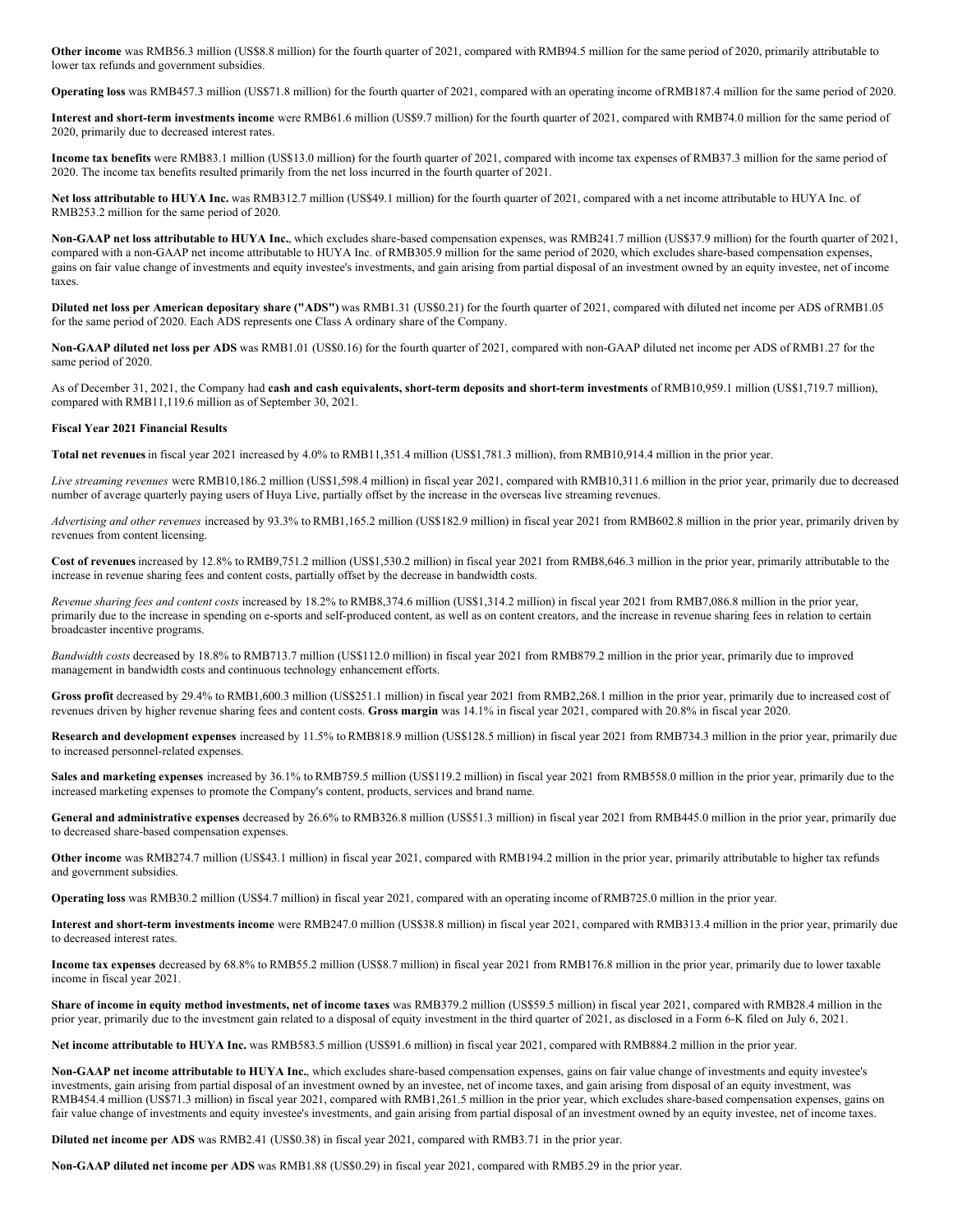**Other income** was RMB56.3 million (US\$8.8 million) for the fourth quarter of 2021, compared with RMB94.5 million for the same period of 2020, primarily attributable to lower tax refunds and government subsidies.

**Operating loss** was RMB457.3 million (US\$71.8 million) for the fourth quarter of 2021, compared with an operating income ofRMB187.4 million for the same period of 2020.

**Interest and short-term investments income** were RMB61.6 million (US\$9.7 million) for the fourth quarter of 2021, compared with RMB74.0 million for the same period of 2020, primarily due to decreased interest rates.

**Income tax benefits** were RMB83.1 million (US\$13.0 million) for the fourth quarter of 2021, compared with income tax expenses of RMB37.3 million for the same period of 2020. The income tax benefits resulted primarily from the net loss incurred in the fourth quarter of 2021.

**Net loss attributable to HUYA Inc.** was RMB312.7 million (US\$49.1 million) for the fourth quarter of 2021, compared with a net income attributable to HUYA Inc. of RMB253.2 million for the same period of 2020.

**Non-GAAP net loss attributable to HUYA Inc.**, which excludes share-based compensation expenses, was RMB241.7 million (US\$37.9 million) for the fourth quarter of 2021, compared with a non-GAAP net income attributable to HUYA Inc. of RMB305.9 million for the same period of 2020, which excludes share-based compensation expenses, gains on fair value change of investments and equity investee's investments, and gain arising from partial disposal of an investment owned by an equity investee, net of income taxes.

**Diluted net loss per American depositary share ("ADS")** was RMB1.31 (US\$0.21) for the fourth quarter of 2021, compared with diluted net income per ADS of RMB1.05 for the same period of 2020. Each ADS represents one Class A ordinary share of the Company.

**Non-GAAP diluted net loss per ADS** was RMB1.01 (US\$0.16) for the fourth quarter of 2021, compared with non-GAAP diluted net income per ADS of RMB1.27 for the same period of 2020.

As of December 31, 2021, the Company had **cash and cash equivalents, short-term deposits and short-term investments** of RMB10,959.1 million (US\$1,719.7 million), compared with RMB11,119.6 million as of September 30, 2021.

### **Fiscal Year 2021 Financial Results**

**Total net revenues**in fiscal year 2021 increased by 4.0% to RMB11,351.4 million (US\$1,781.3 million), from RMB10,914.4 million in the prior year.

*Live streaming revenues* were RMB10,186.2 million (US\$1,598.4 million) in fiscal year 2021, compared with RMB10,311.6 million in the prior year, primarily due to decreased number of average quarterly paying users of Huya Live, partially offset by the increase in the overseas live streaming revenues.

*Advertising and other revenues* increased by 93.3% to RMB1,165.2 million (US\$182.9 million) in fiscal year 2021 from RMB602.8 million in the prior year, primarily driven by revenues from content licensing.

**Cost of revenues** increased by 12.8% to RMB9,751.2 million (US\$1,530.2 million) in fiscal year 2021 from RMB8,646.3 million in the prior year, primarily attributable to the increase in revenue sharing fees and content costs, partially offset by the decrease in bandwidth costs.

*Revenue sharing fees and content costs* increased by 18.2% to RMB8,374.6 million (US\$1,314.2 million) in fiscal year 2021 from RMB7,086.8 million in the prior year, primarily due to the increase in spending on e-sports and self-produced content, as well as on content creators, and the increase in revenue sharing fees in relation to certain broadcaster incentive programs.

*Bandwidth costs* decreased by 18.8% to RMB713.7 million (US\$112.0 million) in fiscal year 2021 from RMB879.2 million in the prior year, primarily due to improved management in bandwidth costs and continuous technology enhancement efforts.

**Gross profit** decreased by 29.4% to RMB1,600.3 million (US\$251.1 million) in fiscal year 2021 from RMB2,268.1 million in the prior year, primarily due to increased cost of revenues driven by higher revenue sharing fees and content costs. **Gross margin** was 14.1% in fiscal year 2021, compared with 20.8% in fiscal year 2020.

**Research and development expenses** increased by 11.5% to RMB818.9 million (US\$128.5 million) in fiscal year 2021 from RMB734.3 million in the prior year, primarily due to increased personnel-related expenses.

**Sales and marketing expenses** increased by 36.1% to RMB759.5 million (US\$119.2 million) in fiscal year 2021 from RMB558.0 million in the prior year, primarily due to the increased marketing expenses to promote the Company's content, products, services and brand name.

General and administrative expenses decreased by 26.6% to RMB326.8 million (US\$51.3 million) in fiscal year 2021 from RMB445.0 million in the prior year, primarily due to decreased share-based compensation expenses.

**Other income** was RMB274.7 million (US\$43.1 million) in fiscal year 2021, compared with RMB194.2 million in the prior year, primarily attributable to higher tax refunds and government subsidies.

**Operating loss** was RMB30.2 million (US\$4.7 million) in fiscal year 2021, compared with an operating income of RMB725.0 million in the prior year.

**Interest and short-term investments income** were RMB247.0 million (US\$38.8 million) in fiscal year 2021, compared with RMB313.4 million in the prior year, primarily due to decreased interest rates.

**Income tax expenses** decreased by 68.8% to RMB55.2 million (US\$8.7 million) in fiscal year 2021 from RMB176.8 million in the prior year, primarily due to lower taxable income in fiscal year 2021.

Share of income in equity method investments, net of income taxes was RMB379.2 million (US\$59.5 million) in fiscal year 2021, compared with RMB28.4 million in the prior year, primarily due to the investment gain related to a disposal of equity investment in the third quarter of 2021, as disclosed in a Form 6-K filed on July 6, 2021.

**Net income attributable to HUYA Inc.** was RMB583.5 million (US\$91.6 million) in fiscal year 2021, compared with RMB884.2 million in the prior year.

**Non-GAAP net income attributable to HUYA Inc.**, which excludes share-based compensation expenses, gains on fair value change of investments and equity investee's investments, gain arising from partial disposal of an investment owned by an investee, net of income taxes, and gain arising from disposal of an equity investment, was RMB454.4 million (US\$71.3 million) in fiscal year 2021, compared with RMB1,261.5 million in the prior year, which excludes share-based compensation expenses, gains on fair value change of investments and equity investee's investments, and gain arising from partial disposal of an investment owned by an equity investee, net of income taxes.

**Diluted net income per ADS** was RMB2.41 (US\$0.38) in fiscal year 2021, compared with RMB3.71 in the prior year.

**Non-GAAP diluted net income per ADS** was RMB1.88 (US\$0.29) in fiscal year 2021, compared with RMB5.29 in the prior year.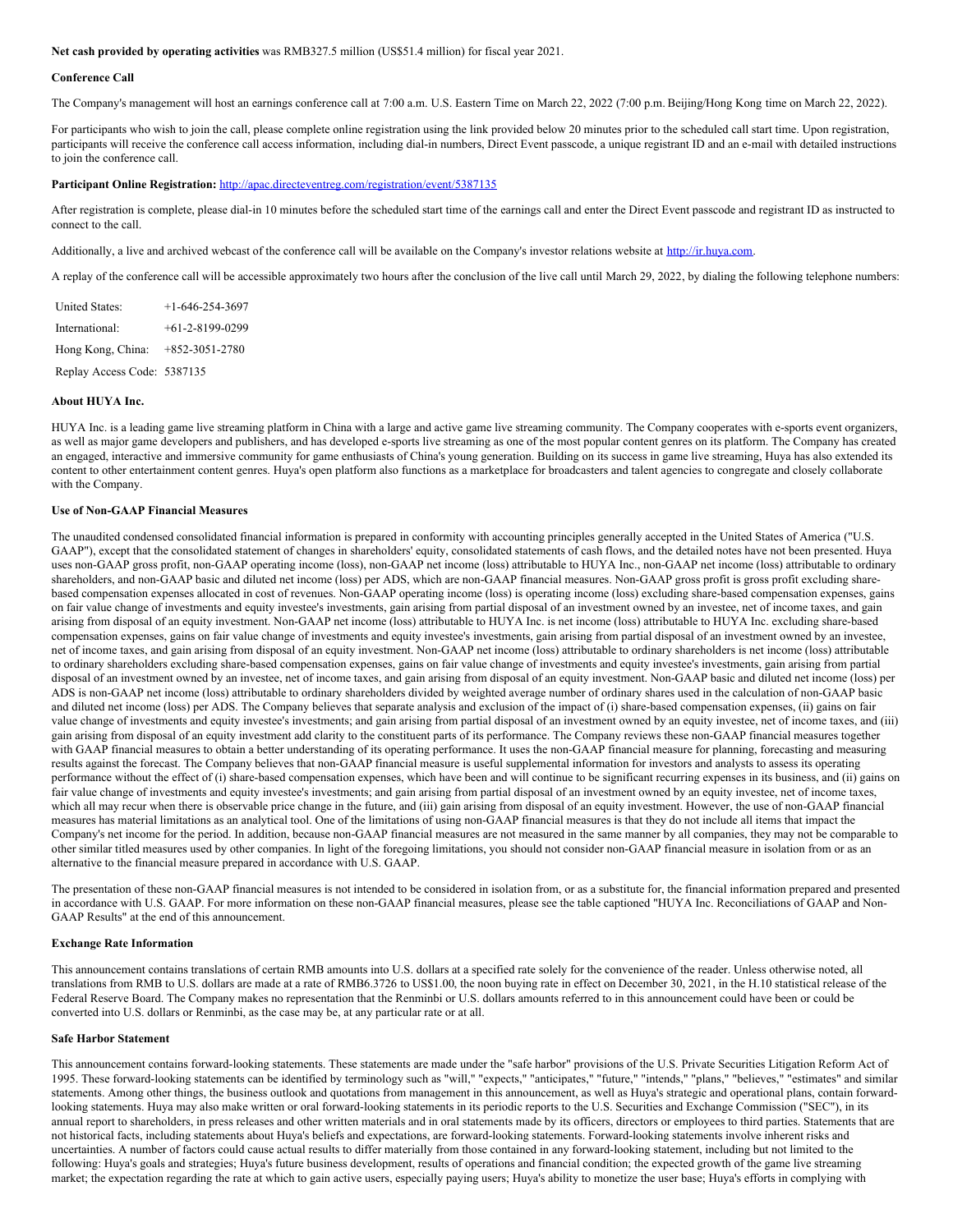**Net cash provided by operating activities** was RMB327.5 million (US\$51.4 million) for fiscal year 2021.

#### **Conference Call**

The Company's management will host an earnings conference call at 7:00 a.m. U.S. Eastern Time on March 22, 2022 (7:00 p.m. Beijing/Hong Kong time on March 22, 2022).

For participants who wish to join the call, please complete online registration using the link provided below 20 minutes prior to the scheduled call start time. Upon registration, participants will receive the conference call access information, including dial-in numbers, Direct Event passcode, a unique registrant ID and an e-mail with detailed instructions to join the conference call.

#### **Participant Online Registration:** <http://apac.directeventreg.com/registration/event/5387135>

After registration is complete, please dial-in 10 minutes before the scheduled start time of the earnings call and enter the Direct Event passcode and registrant ID as instructed to connect to the call.

Additionally, a live and archived webcast of the conference call will be available on the Company's investor relations website at [http://ir.huya.com](http://ir.huya.com/).

A replay of the conference call will be accessible approximately two hours after the conclusion of the live call until March 29, 2022, by dialing the following telephone numbers:

| <b>United States:</b>       | $+1-646-254-3697$ |
|-----------------------------|-------------------|
| International:              | $+61-2-8199-0299$ |
| Hong Kong, China:           | $+852-3051-2780$  |
| Replay Access Code: 5387135 |                   |

### **About HUYA Inc.**

HUYA Inc. is a leading game live streaming platform in China with a large and active game live streaming community. The Company cooperates with e-sports event organizers, as well as major game developers and publishers, and has developed e-sports live streaming as one of the most popular content genres on its platform. The Company has created an engaged, interactive and immersive community for game enthusiasts of China's young generation. Building on its success in game live streaming, Huya has also extended its content to other entertainment content genres. Huya's open platform also functions as a marketplace for broadcasters and talent agencies to congregate and closely collaborate with the Company.

### **Use of Non-GAAP Financial Measures**

The unaudited condensed consolidated financial information is prepared in conformity with accounting principles generally accepted in the United States of America ("U.S. GAAP"), except that the consolidated statement of changes in shareholders' equity, consolidated statements of cash flows, and the detailed notes have not been presented. Huya uses non-GAAP gross profit, non-GAAP operating income (loss), non-GAAP net income (loss) attributable to HUYA Inc., non-GAAP net income (loss) attributable to ordinary shareholders, and non-GAAP basic and diluted net income (loss) per ADS, which are non-GAAP financial measures. Non-GAAP gross profit is gross profit excluding sharebased compensation expenses allocated in cost of revenues. Non-GAAP operating income (loss) is operating income (loss) excluding share-based compensation expenses, gains on fair value change of investments and equity investee's investments, gain arising from partial disposal of an investment owned by an investee, net of income taxes, and gain arising from disposal of an equity investment. Non-GAAP net income (loss) attributable to HUYA Inc. is net income (loss) attributable to HUYA Inc. excluding share-based compensation expenses, gains on fair value change of investments and equity investee's investments, gain arising from partial disposal of an investment owned by an investee, net of income taxes, and gain arising from disposal of an equity investment. Non-GAAP net income (loss) attributable to ordinary shareholders is net income (loss) attributable to ordinary shareholders excluding share-based compensation expenses, gains on fair value change of investments and equity investee's investments, gain arising from partial disposal of an investment owned by an investee, net of income taxes, and gain arising from disposal of an equity investment. Non-GAAP basic and diluted net income (loss) per ADS is non-GAAP net income (loss) attributable to ordinary shareholders divided by weighted average number of ordinary shares used in the calculation of non-GAAP basic and diluted net income (loss) per ADS. The Company believes that separate analysis and exclusion of the impact of (i) share-based compensation expenses, (ii) gains on fair value change of investments and equity investee's investments; and gain arising from partial disposal of an investment owned by an equity investee, net of income taxes, and (iii) gain arising from disposal of an equity investment add clarity to the constituent parts of its performance. The Company reviews these non-GAAP financial measures together with GAAP financial measures to obtain a better understanding of its operating performance. It uses the non-GAAP financial measure for planning, forecasting and measuring results against the forecast. The Company believes that non-GAAP financial measure is useful supplemental information for investors and analysts to assess its operating performance without the effect of (i) share-based compensation expenses, which have been and will continue to be significant recurring expenses in its business, and (ii) gains on fair value change of investments and equity investee's investments; and gain arising from partial disposal of an investment owned by an equity investee, net of income taxes, which all may recur when there is observable price change in the future, and (iii) gain arising from disposal of an equity investment. However, the use of non-GAAP financial measures has material limitations as an analytical tool. One of the limitations of using non-GAAP financial measures is that they do not include all items that impact the Company's net income for the period. In addition, because non-GAAP financial measures are not measured in the same manner by all companies, they may not be comparable to other similar titled measures used by other companies. In light of the foregoing limitations, you should not consider non-GAAP financial measure in isolation from or as an alternative to the financial measure prepared in accordance with U.S. GAAP.

The presentation of these non-GAAP financial measures is not intended to be considered in isolation from, or as a substitute for, the financial information prepared and presented in accordance with U.S. GAAP. For more information on these non-GAAP financial measures, please see the table captioned "HUYA Inc. Reconciliations of GAAP and Non-GAAP Results" at the end of this announcement.

#### **Exchange Rate Information**

This announcement contains translations of certain RMB amounts into U.S. dollars at a specified rate solely for the convenience of the reader. Unless otherwise noted, all translations from RMB to U.S. dollars are made at a rate of RMB6.3726 to US\$1.00, the noon buying rate in effect on December 30, 2021, in the H.10 statistical release of the Federal Reserve Board. The Company makes no representation that the Renminbi or U.S. dollars amounts referred to in this announcement could have been or could be converted into U.S. dollars or Renminbi, as the case may be, at any particular rate or at all.

#### **Safe Harbor Statement**

This announcement contains forward-looking statements. These statements are made under the "safe harbor" provisions of the U.S. Private Securities Litigation Reform Act of 1995. These forward-looking statements can be identified by terminology such as "will," "expects," "anticipates," "future," "intends," "plans," "believes," "estimates" and similar statements. Among other things, the business outlook and quotations from management in this announcement, as well as Huya's strategic and operational plans, contain forwardlooking statements. Huya may also make written or oral forward-looking statements in its periodic reports to the U.S. Securities and Exchange Commission ("SEC"), in its annual report to shareholders, in press releases and other written materials and in oral statements made by its officers, directors or employees to third parties. Statements that are not historical facts, including statements about Huya's beliefs and expectations, are forward-looking statements. Forward-looking statements involve inherent risks and uncertainties. A number of factors could cause actual results to differ materially from those contained in any forward-looking statement, including but not limited to the following: Huya's goals and strategies; Huya's future business development, results of operations and financial condition; the expected growth of the game live streaming market; the expectation regarding the rate at which to gain active users, especially paying users; Huya's ability to monetize the user base; Huya's efforts in complying with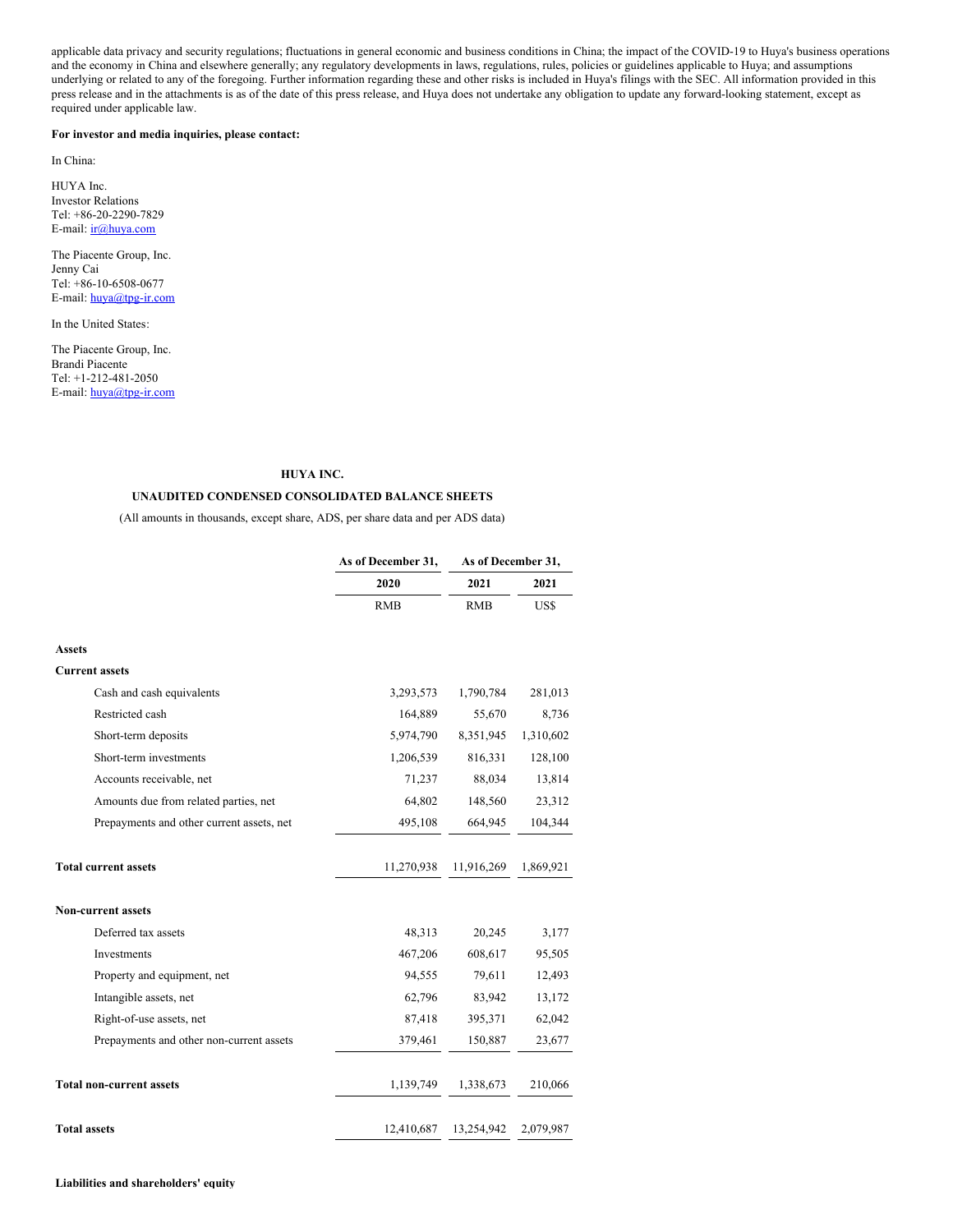applicable data privacy and security regulations; fluctuations in general economic and business conditions in China; the impact of the COVID-19 to Huya's business operations and the economy in China and elsewhere generally; any regulatory developments in laws, regulations, rules, policies or guidelines applicable to Huya; and assumptions underlying or related to any of the foregoing. Further information regarding these and other risks is included in Huya's filings with the SEC. All information provided in this press release and in the attachments is as of the date of this press release, and Huya does not undertake any obligation to update any forward-looking statement, except as required under applicable law.

#### **For investor and media inquiries, please contact:**

In China:

HUYA Inc. Investor Relations Tel: +86-20-2290-7829 E-mail: [ir@huya.com](mailto:ir@huya.com)

The Piacente Group, Inc. Jenny Cai Tel: +86-10-6508-0677 E-mail: [huya@tpg-ir.com](mailto:huya@tpg-ir.com)

In the United States:

The Piacente Group, Inc. Brandi Piacente Tel: +1-212-481-2050 E-mail: [huya@tpg-ir.com](mailto:huya@tpg-ir.com)

## **HUYA INC.**

# **UNAUDITED CONDENSED CONSOLIDATED BALANCE SHEETS**

(All amounts in thousands, except share, ADS, per share data and per ADS data)

|                                           | As of December 31, | As of December 31, |           |  |
|-------------------------------------------|--------------------|--------------------|-----------|--|
|                                           | 2020               | 2021               | 2021      |  |
|                                           | <b>RMB</b>         | <b>RMB</b>         | US\$      |  |
| <b>Assets</b>                             |                    |                    |           |  |
| <b>Current assets</b>                     |                    |                    |           |  |
| Cash and cash equivalents                 | 3,293,573          | 1,790,784          | 281,013   |  |
| Restricted cash                           | 164,889            | 55,670             | 8,736     |  |
| Short-term deposits                       | 5,974,790          | 8,351,945          | 1,310,602 |  |
| Short-term investments                    | 1,206,539          | 816,331            | 128,100   |  |
| Accounts receivable, net                  | 71,237             | 88,034             | 13,814    |  |
| Amounts due from related parties, net     | 64,802             | 148,560            | 23,312    |  |
| Prepayments and other current assets, net | 495,108            | 664,945            | 104,344   |  |
|                                           |                    |                    |           |  |
| <b>Total current assets</b>               | 11,270,938         | 11,916,269         | 1,869,921 |  |
| <b>Non-current assets</b>                 |                    |                    |           |  |
| Deferred tax assets                       | 48,313             | 20,245             | 3,177     |  |
| Investments                               | 467,206            | 608,617            | 95,505    |  |
| Property and equipment, net               | 94,555             | 79,611             | 12,493    |  |
| Intangible assets, net                    | 62,796             | 83,942             | 13,172    |  |
| Right-of-use assets, net                  | 87,418             | 395,371            | 62,042    |  |
| Prepayments and other non-current assets  | 379,461            | 150,887            | 23,677    |  |
| <b>Total non-current assets</b>           | 1,139,749          | 1,338,673          | 210,066   |  |
| <b>Total assets</b>                       | 12,410,687         | 13,254,942         | 2,079,987 |  |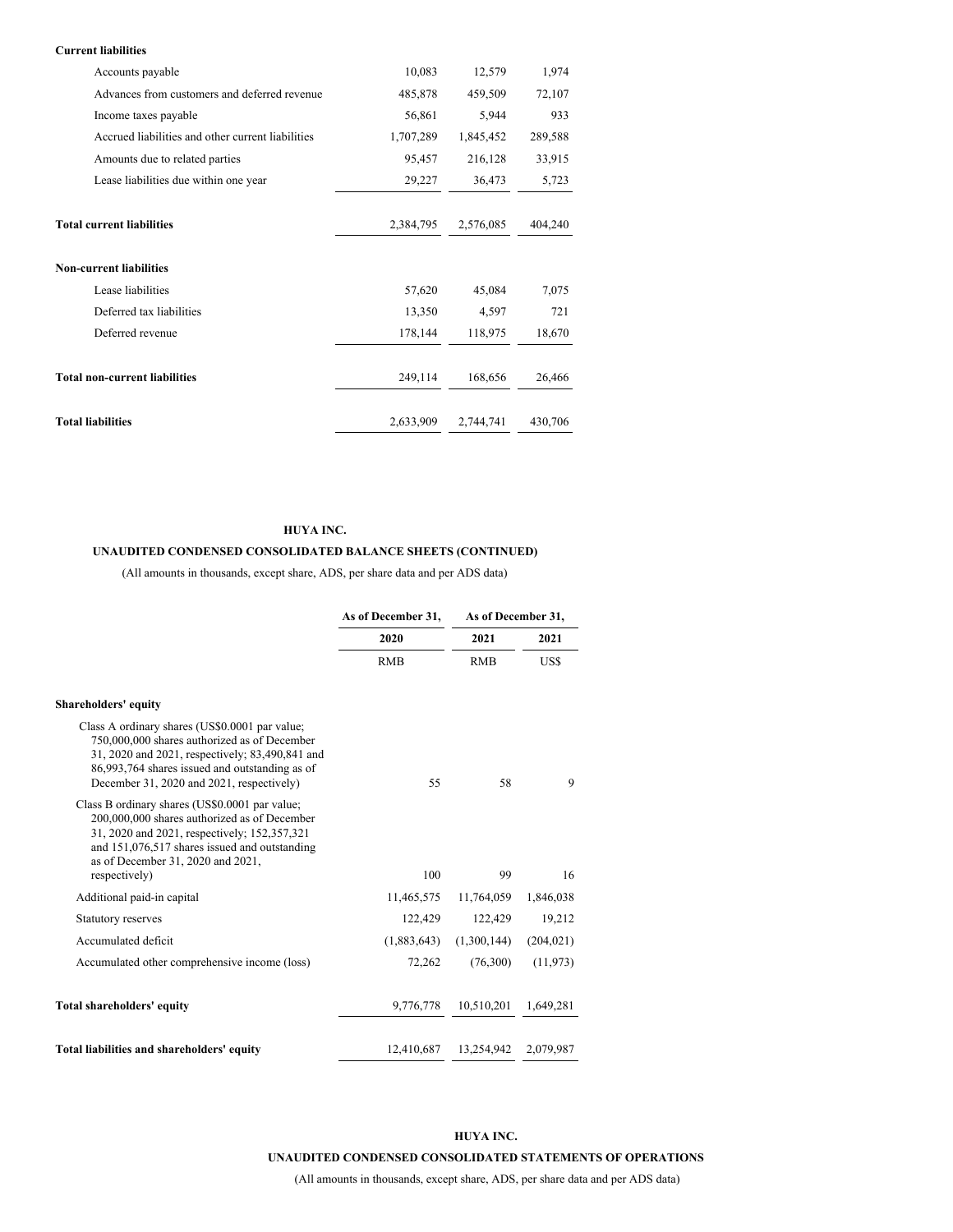# **Current liabilities**

| Accounts payable                                  | 10,083    | 12,579    | 1,974   |
|---------------------------------------------------|-----------|-----------|---------|
| Advances from customers and deferred revenue      | 485,878   | 459,509   | 72,107  |
| Income taxes payable                              | 56,861    | 5,944     | 933     |
| Accrued liabilities and other current liabilities | 1,707,289 | 1,845,452 | 289,588 |
| Amounts due to related parties                    | 95,457    | 216,128   | 33,915  |
| Lease liabilities due within one year             | 29,227    | 36,473    | 5,723   |
|                                                   |           |           |         |
| <b>Total current liabilities</b>                  | 2,384,795 | 2,576,085 | 404,240 |
| <b>Non-current liabilities</b>                    |           |           |         |
| Lease liabilities                                 | 57,620    | 45,084    | 7,075   |
| Deferred tax liabilities                          | 13,350    | 4,597     | 721     |
| Deferred revenue                                  | 178,144   | 118,975   | 18,670  |
| <b>Total non-current liabilities</b>              | 249,114   | 168,656   | 26,466  |
| <b>Total liabilities</b>                          | 2,633,909 | 2,744,741 | 430,706 |

# **HUYA INC.**

# **UNAUDITED CONDENSED CONSOLIDATED BALANCE SHEETS (CONTINUED)**

(All amounts in thousands, except share, ADS, per share data and per ADS data)

|                                                                                                                                                                                                                                                       | As of December 31, | As of December 31, |            |
|-------------------------------------------------------------------------------------------------------------------------------------------------------------------------------------------------------------------------------------------------------|--------------------|--------------------|------------|
|                                                                                                                                                                                                                                                       | 2020               | 2021               | 2021       |
|                                                                                                                                                                                                                                                       | <b>RMB</b>         | <b>RMB</b>         | US\$       |
| <b>Shareholders' equity</b>                                                                                                                                                                                                                           |                    |                    |            |
| Class A ordinary shares (US\$0.0001 par value;<br>750,000,000 shares authorized as of December<br>31, 2020 and 2021, respectively; 83,490,841 and<br>86,993,764 shares issued and outstanding as of<br>December 31, 2020 and 2021, respectively)      | 55                 | 58                 | 9          |
| Class B ordinary shares (US\$0.0001 par value;<br>200,000,000 shares authorized as of December<br>31, 2020 and 2021, respectively; 152,357,321<br>and 151,076,517 shares issued and outstanding<br>as of December 31, 2020 and 2021,<br>respectively) | 100                | 99                 | 16         |
| Additional paid-in capital                                                                                                                                                                                                                            | 11,465,575         | 11,764,059         | 1,846,038  |
| Statutory reserves                                                                                                                                                                                                                                    | 122,429            | 122,429            | 19,212     |
| Accumulated deficit                                                                                                                                                                                                                                   | (1,883,643)        | (1,300,144)        | (204, 021) |
| Accumulated other comprehensive income (loss)                                                                                                                                                                                                         | 72,262             | (76,300)           | (11, 973)  |
| Total shareholders' equity                                                                                                                                                                                                                            | 9,776,778          | 10,510,201         | 1,649,281  |
| Total liabilities and shareholders' equity                                                                                                                                                                                                            | 12,410,687         | 13,254,942         | 2,079,987  |

# **HUYA INC.**

# **UNAUDITED CONDENSED CONSOLIDATED STATEMENTS OF OPERATIONS**

(All amounts in thousands, except share, ADS, per share data and per ADS data)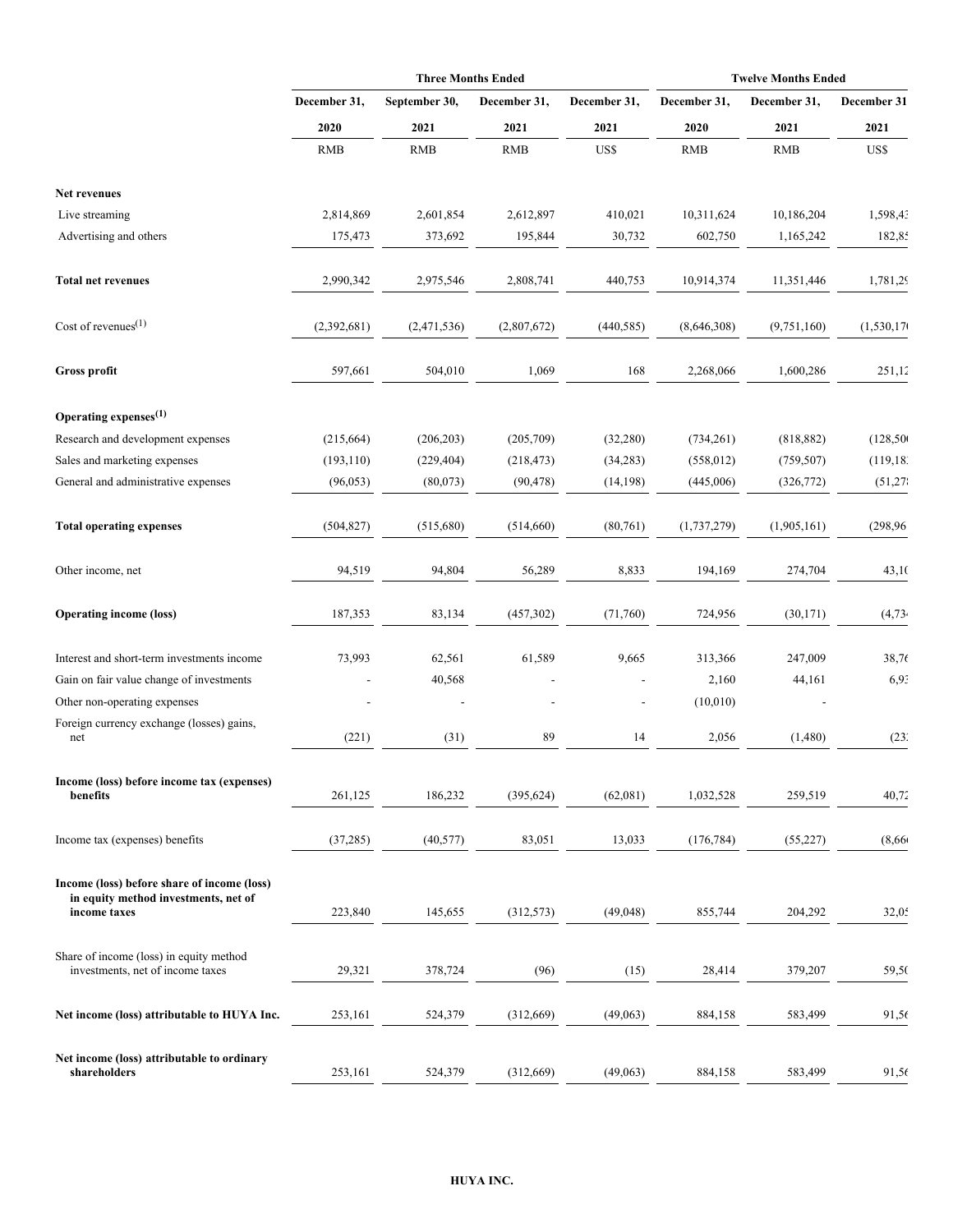|                                                                                                     |              | <b>Three Months Ended</b> |              |              | <b>Twelve Months Ended</b> |               |                     |  |
|-----------------------------------------------------------------------------------------------------|--------------|---------------------------|--------------|--------------|----------------------------|---------------|---------------------|--|
|                                                                                                     | December 31, | September 30,             | December 31, | December 31, | December 31,               | December 31,  | December 31<br>2021 |  |
|                                                                                                     | 2020         | 2021                      | 2021         | 2021         | 2020                       | 2021          |                     |  |
|                                                                                                     | <b>RMB</b>   | <b>RMB</b>                | <b>RMB</b>   | US\$         | <b>RMB</b>                 | <b>RMB</b>    | US\$                |  |
| Net revenues                                                                                        |              |                           |              |              |                            |               |                     |  |
| Live streaming                                                                                      | 2,814,869    | 2,601,854                 | 2,612,897    | 410,021      | 10,311,624                 | 10,186,204    | 1,598,43            |  |
| Advertising and others                                                                              | 175,473      | 373,692                   | 195,844      | 30,732       | 602,750                    | 1,165,242     | 182,85              |  |
| <b>Total net revenues</b>                                                                           | 2,990,342    | 2,975,546                 | 2,808,741    | 440,753      | 10,914,374                 | 11,351,446    | 1,781,29            |  |
| Cost of revenues $(1)$                                                                              | (2,392,681)  | (2,471,536)               | (2,807,672)  | (440, 585)   | (8,646,308)                | (9, 751, 160) | (1,530,170)         |  |
| Gross profit                                                                                        | 597,661      | 504,010                   | 1,069        | 168          | 2,268,066                  | 1,600,286     | 251,12              |  |
| Operating expenses <sup>(1)</sup>                                                                   |              |                           |              |              |                            |               |                     |  |
| Research and development expenses                                                                   | (215, 664)   | (206, 203)                | (205,709)    | (32, 280)    | (734,261)                  | (818, 882)    | (128, 500)          |  |
| Sales and marketing expenses                                                                        | (193, 110)   | (229, 404)                | (218, 473)   | (34, 283)    | (558, 012)                 | (759, 507)    | (119, 18)           |  |
| General and administrative expenses                                                                 | (96, 053)    | (80,073)                  | (90, 478)    | (14, 198)    | (445,006)                  | (326, 772)    | (51,27)             |  |
| <b>Total operating expenses</b>                                                                     | (504, 827)   | (515,680)                 | (514,660)    | (80,761)     | (1,737,279)                | (1,905,161)   | (298, 96)           |  |
| Other income, net                                                                                   | 94,519       | 94,804                    | 56,289       | 8,833        | 194,169                    | 274,704       | 43,10               |  |
| <b>Operating income (loss)</b>                                                                      | 187,353      | 83,134                    | (457, 302)   | (71,760)     | 724,956                    | (30, 171)     | (4,73)              |  |
| Interest and short-term investments income                                                          | 73,993       | 62,561                    | 61,589       | 9,665        | 313,366                    | 247,009       | 38,76               |  |
| Gain on fair value change of investments                                                            |              | 40,568                    |              |              | 2,160                      | 44,161        | 6,9                 |  |
| Other non-operating expenses                                                                        |              |                           |              |              | (10,010)                   |               |                     |  |
| Foreign currency exchange (losses) gains,<br>net                                                    | (221)        | (31)                      | 89           | 14           | 2,056                      | (1,480)       | (23)'               |  |
| Income (loss) before income tax (expenses)                                                          |              |                           |              |              |                            |               |                     |  |
| benefits                                                                                            | 261,125      | 186,232                   | (395, 624)   | (62,081)     | 1,032,528                  | 259,519       | 40,72               |  |
| Income tax (expenses) benefits                                                                      | (37, 285)    | (40, 577)                 | 83,051       | 13,033       | (176, 784)                 | (55, 227)     | (8,66)              |  |
| Income (loss) before share of income (loss)<br>in equity method investments, net of<br>income taxes | 223,840      | 145,655                   | (312, 573)   | (49, 048)    | 855,744                    | 204,292       | 32,0.5              |  |
| Share of income (loss) in equity method<br>investments, net of income taxes                         | 29,321       | 378,724                   | (96)         | (15)         | 28,414                     | 379,207       | 59,50               |  |
| Net income (loss) attributable to HUYA Inc.                                                         | 253,161      | 524,379                   | (312,669)    | (49,063)     | 884,158                    | 583,499       | 91,56               |  |
| Net income (loss) attributable to ordinary<br>shareholders                                          | 253,161      | 524,379                   | (312,669)    | (49,063)     | 884,158                    | 583,499       | 91,56               |  |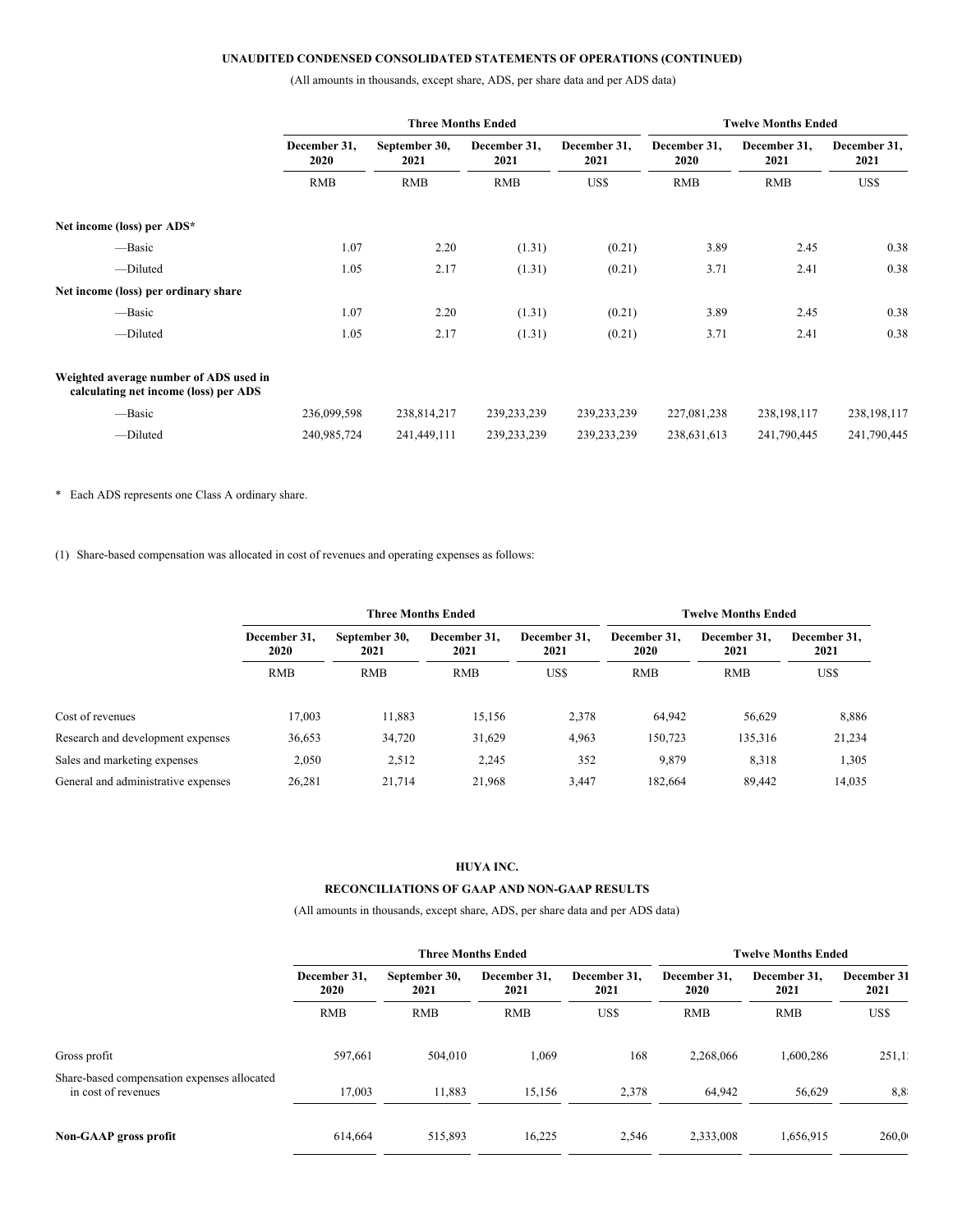# **UNAUDITED CONDENSED CONSOLIDATED STATEMENTS OF OPERATIONS (CONTINUED)**

(All amounts in thousands, except share, ADS, per share data and per ADS data)

|                                                                                 | <b>Three Months Ended</b> |                       |                      |                      |                      | <b>Twelve Months Ended</b> |                      |
|---------------------------------------------------------------------------------|---------------------------|-----------------------|----------------------|----------------------|----------------------|----------------------------|----------------------|
|                                                                                 | December 31,<br>2020      | September 30,<br>2021 | December 31,<br>2021 | December 31,<br>2021 | December 31,<br>2020 | December 31,<br>2021       | December 31,<br>2021 |
|                                                                                 | <b>RMB</b>                | <b>RMB</b>            | <b>RMB</b>           | US\$                 | <b>RMB</b>           | <b>RMB</b>                 | US\$                 |
| Net income (loss) per ADS*                                                      |                           |                       |                      |                      |                      |                            |                      |
| -Basic                                                                          | 1.07                      | 2.20                  | (1.31)               | (0.21)               | 3.89                 | 2.45                       | 0.38                 |
| -Diluted                                                                        | 1.05                      | 2.17                  | (1.31)               | (0.21)               | 3.71                 | 2.41                       | 0.38                 |
| Net income (loss) per ordinary share                                            |                           |                       |                      |                      |                      |                            |                      |
| -Basic                                                                          | 1.07                      | 2.20                  | (1.31)               | (0.21)               | 3.89                 | 2.45                       | 0.38                 |
| -Diluted                                                                        | 1.05                      | 2.17                  | (1.31)               | (0.21)               | 3.71                 | 2.41                       | 0.38                 |
| Weighted average number of ADS used in<br>calculating net income (loss) per ADS |                           |                       |                      |                      |                      |                            |                      |
| -Basic                                                                          | 236,099,598               | 238,814,217           | 239, 233, 239        | 239, 233, 239        | 227,081,238          | 238, 198, 117              | 238,198,117          |
| -Diluted                                                                        | 240,985,724               | 241,449,111           | 239, 233, 239        | 239, 233, 239        | 238,631,613          | 241,790,445                | 241,790,445          |

\* Each ADS represents one Class A ordinary share.

(1) Share-based compensation was allocated in cost of revenues and operating expenses as follows:

|                                     |                      | <b>Three Months Ended</b> |                                      |       | <b>Twelve Months Ended</b> |                      |                      |
|-------------------------------------|----------------------|---------------------------|--------------------------------------|-------|----------------------------|----------------------|----------------------|
|                                     | December 31,<br>2020 | September 30,<br>2021     | December 31.<br>December 31.<br>2021 |       | December 31.<br>2020       | December 31.<br>2021 | December 31,<br>2021 |
|                                     | <b>RMB</b>           | <b>RMB</b>                | <b>RMB</b>                           | US\$  | <b>RMB</b>                 | <b>RMB</b>           | US\$                 |
| Cost of revenues                    | 17,003               | 11,883                    | 15.156                               | 2,378 | 64,942                     | 56,629               | 8,886                |
| Research and development expenses   | 36,653               | 34,720                    | 31,629                               | 4,963 | 150,723                    | 135,316              | 21,234               |
| Sales and marketing expenses        | 2,050                | 2,512                     | 2,245                                | 352   | 9,879                      | 8,318                | 1,305                |
| General and administrative expenses | 26,281               | 21,714                    | 21,968                               | 3,447 | 182,664                    | 89.442               | 14,035               |

### **HUYA INC.**

# **RECONCILIATIONS OF GAAP AND NON-GAAP RESULTS**

(All amounts in thousands, except share, ADS, per share data and per ADS data)

|                                                                    | <b>Three Months Ended</b>                     |                                              |                             |                      |                     | <b>Twelve Months Ended</b> |        |
|--------------------------------------------------------------------|-----------------------------------------------|----------------------------------------------|-----------------------------|----------------------|---------------------|----------------------------|--------|
|                                                                    | December 31,<br>September 30,<br>2021<br>2020 | December 31.<br>December 31.<br>2021<br>2021 | December 31.<br><b>2020</b> | December 31.<br>2021 | December 31<br>2021 |                            |        |
|                                                                    | <b>RMB</b>                                    | <b>RMB</b>                                   | <b>RMB</b>                  | US\$                 | <b>RMB</b>          | <b>RMB</b>                 | US\$   |
| Gross profit                                                       | 597,661                                       | 504,010                                      | 1,069                       | 168                  | 2,268,066           | 1,600,286                  | 251.1' |
| Share-based compensation expenses allocated<br>in cost of revenues | 17,003                                        | 11,883                                       | 15,156                      | 2,378                | 64,942              | 56,629                     | 8,8    |
| Non-GAAP gross profit                                              | 614,664                                       | 515,893                                      | 16,225                      | 2,546                | 2,333,008           | 1,656,915                  | 260,0  |